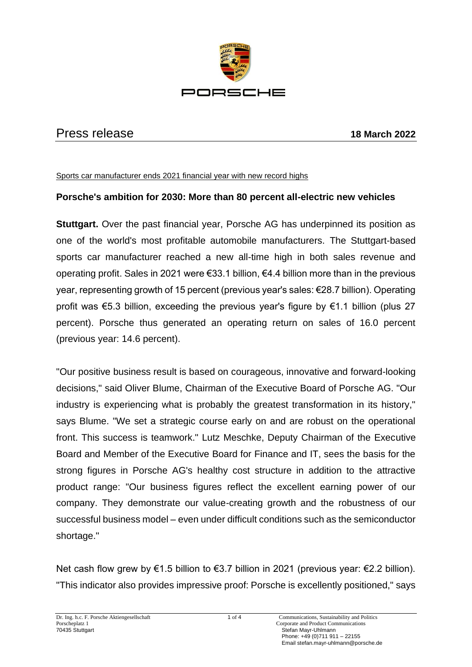

## Press release **18 March 2022**

Sports car manufacturer ends 2021 financial year with new record highs

## **Porsche's ambition for 2030: More than 80 percent all-electric new vehicles**

**Stuttgart.** Over the past financial year, Porsche AG has underpinned its position as one of the world's most profitable automobile manufacturers. The Stuttgart-based sports car manufacturer reached a new all-time high in both sales revenue and operating profit. Sales in 2021 were €33.1 billion, €4.4 billion more than in the previous year, representing growth of 15 percent (previous year's sales: €28.7 billion). Operating profit was €5.3 billion, exceeding the previous year's figure by €1.1 billion (plus 27 percent). Porsche thus generated an operating return on sales of 16.0 percent (previous year: 14.6 percent).

"Our positive business result is based on courageous, innovative and forward-looking decisions," said Oliver Blume, Chairman of the Executive Board of Porsche AG. "Our industry is experiencing what is probably the greatest transformation in its history," says Blume. "We set a strategic course early on and are robust on the operational front. This success is teamwork." Lutz Meschke, Deputy Chairman of the Executive Board and Member of the Executive Board for Finance and IT, sees the basis for the strong figures in Porsche AG's healthy cost structure in addition to the attractive product range: "Our business figures reflect the excellent earning power of our company. They demonstrate our value-creating growth and the robustness of our successful business model – even under difficult conditions such as the semiconductor shortage."

Net cash flow grew by €1.5 billion to €3.7 billion in 2021 (previous year: €2.2 billion). "This indicator also provides impressive proof: Porsche is excellently positioned," says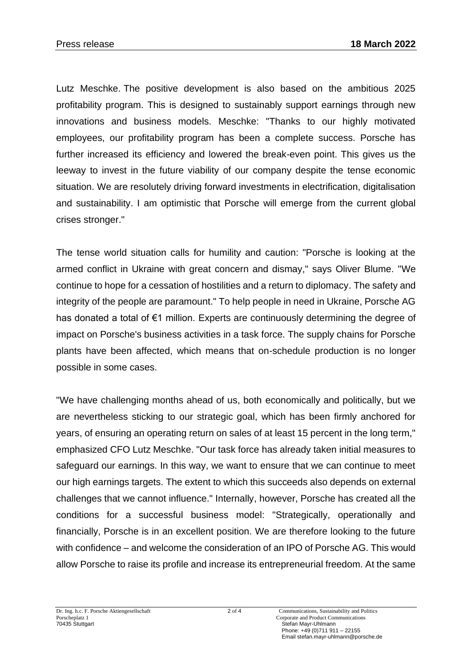Lutz Meschke. The positive development is also based on the ambitious 2025 profitability program. This is designed to sustainably support earnings through new innovations and business models. Meschke: "Thanks to our highly motivated employees, our profitability program has been a complete success. Porsche has further increased its efficiency and lowered the break-even point. This gives us the leeway to invest in the future viability of our company despite the tense economic situation. We are resolutely driving forward investments in electrification, digitalisation and sustainability. I am optimistic that Porsche will emerge from the current global crises stronger."

The tense world situation calls for humility and caution: "Porsche is looking at the armed conflict in Ukraine with great concern and dismay," says Oliver Blume. "We continue to hope for a cessation of hostilities and a return to diplomacy. The safety and integrity of the people are paramount." To help people in need in Ukraine, Porsche AG has donated a total of €1 million. Experts are continuously determining the degree of impact on Porsche's business activities in a task force. The supply chains for Porsche plants have been affected, which means that on-schedule production is no longer possible in some cases.

"We have challenging months ahead of us, both economically and politically, but we are nevertheless sticking to our strategic goal, which has been firmly anchored for years, of ensuring an operating return on sales of at least 15 percent in the long term," emphasized CFO Lutz Meschke. "Our task force has already taken initial measures to safeguard our earnings. In this way, we want to ensure that we can continue to meet our high earnings targets. The extent to which this succeeds also depends on external challenges that we cannot influence." Internally, however, Porsche has created all the conditions for a successful business model: "Strategically, operationally and financially, Porsche is in an excellent position. We are therefore looking to the future with confidence – and welcome the consideration of an IPO of Porsche AG. This would allow Porsche to raise its profile and increase its entrepreneurial freedom. At the same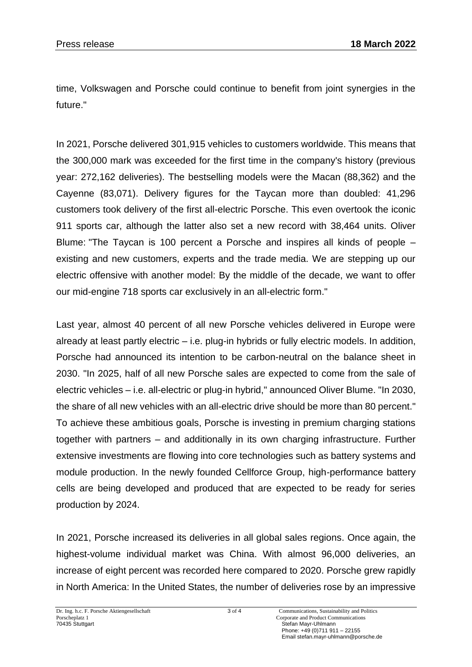time, Volkswagen and Porsche could continue to benefit from joint synergies in the future."

In 2021, Porsche delivered 301,915 vehicles to customers worldwide. This means that the 300,000 mark was exceeded for the first time in the company's history (previous year: 272,162 deliveries). The bestselling models were the Macan (88,362) and the Cayenne (83,071). Delivery figures for the Taycan more than doubled: 41,296 customers took delivery of the first all-electric Porsche. This even overtook the iconic 911 sports car, although the latter also set a new record with 38,464 units. Oliver Blume: "The Taycan is 100 percent a Porsche and inspires all kinds of people – existing and new customers, experts and the trade media. We are stepping up our electric offensive with another model: By the middle of the decade, we want to offer our mid-engine 718 sports car exclusively in an all-electric form."

Last year, almost 40 percent of all new Porsche vehicles delivered in Europe were already at least partly electric – i.e. plug-in hybrids or fully electric models. In addition, Porsche had announced its intention to be carbon-neutral on the balance sheet in 2030. "In 2025, half of all new Porsche sales are expected to come from the sale of electric vehicles – i.e. all-electric or plug-in hybrid," announced Oliver Blume. "In 2030, the share of all new vehicles with an all-electric drive should be more than 80 percent." To achieve these ambitious goals, Porsche is investing in premium charging stations together with partners – and additionally in its own charging infrastructure. Further extensive investments are flowing into core technologies such as battery systems and module production. In the newly founded Cellforce Group, high-performance battery cells are being developed and produced that are expected to be ready for series production by 2024.

In 2021, Porsche increased its deliveries in all global sales regions. Once again, the highest-volume individual market was China. With almost 96,000 deliveries, an increase of eight percent was recorded here compared to 2020. Porsche grew rapidly in North America: In the United States, the number of deliveries rose by an impressive